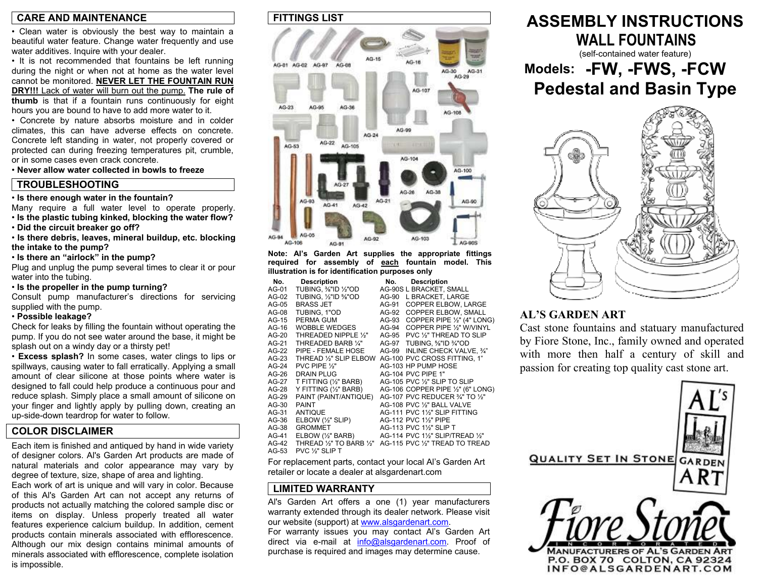### **CARE AND MAINTENANCE**

• Clean water is obviously the best way to maintain a beautiful water feature. Change water frequently and use water additives. Inquire with your dealer.

 $\cdot$  It is not recommended that fountains be left running during the night or when not at home as the water level cannot be monitored. **NEVER LET THE FOUNTAIN RUN DRY!!!** Lack of water will burn out the pump. **The rule of thumb** is that if a fountain runs continuously for eight hours you are bound to have to add more water to it.

! Concrete by nature absorbs moisture and in colder climates, this can have adverse effects on concrete. Concrete left standing in water, not properly covered or protected can during freezing temperatures pit, crumble, or in some cases even crack concrete.

! **Never allow water collected in bowls to freeze**

### **TROUBLESHOOTING**

! **Is there enough water in the fountain?** 

Many require a full water level to operate properly. ! **Is the plastic tubing kinked, blocking the water flow?** 

! **Did the circuit breaker go off?** 

! **Is there debris, leaves, mineral buildup, etc. blocking the intake to the pump?** 

 $\cdot$  Is there an "airlock" in the pump?

Plug and unplug the pump several times to clear it or pour water into the tubing.

! **Is the propeller in the pump turning?** 

Consult pump manufacturer's directions for servicing supplied with the pump.

### ! **Possible leakage?**

Check for leaks by filling the fountain without operating the pump. If you do not see water around the base, it might be splash out on a windy day or a thirsty pet!

! **Excess splash?** In some cases, water clings to lips or spillways, causing water to fall erratically. Applying a small amount of clear silicone at those points where water is designed to fall could help produce a continuous pour and reduce splash. Simply place a small amount of silicone on your finger and lightly apply by pulling down, creating an up-side-down teardrop for water to follow.

### **COLOR DISCLAIMER**

Each item is finished and antiqued by hand in wide variety of designer colors. Al's Garden Art products are made of natural materials and color appearance may vary by degree of texture, size, shape of area and lighting.

Each work of art is unique and will vary in color. Because of this Al's Garden Art can not accept any returns of products not actually matching the colored sample disc or items on display. Unless properly treated all water features experience calcium buildup. In addition, cement products contain minerals associated with efflorescence. Although our mix design contains minimal amounts of minerals associated with efflorescence, complete isolation is impossible.

### **FITTINGS LIST**



Note: Al's Garden Art supplies the appropriate fittings **required for assembly of each fountain model. This illustration is for identification purposes only** 

| No.     | <b>Description</b>                             | No.   | <b>Description</b>                |
|---------|------------------------------------------------|-------|-----------------------------------|
| AG-01   | TUBING, %"ID 1/2"OD                            |       | AG-90S L BRACKET, SMALL           |
| AG-02   | TUBING, 1/2"ID 5/8"OD                          | AG-90 | L BRACKET. LARGE                  |
| AG-05   | <b>BRASS JET</b>                               | AG-91 | <b>COPPER ELBOW. LARGE</b>        |
| AG-08   | TUBING, 1"OD                                   | AG-92 | COPPER ELBOW, SMALL               |
| AG-15   | PERMA GUM                                      | AG-93 | COPPER PIPE 1/2" (4" LONG)        |
| AG-16   | <b>WOBBLE WEDGES</b>                           | AG-94 | COPPER PIPE 1/2" W/VINYL          |
| AG-20   | THREADED NIPPLE 1/3"                           | AG-95 | PVC 1/2" THREAD TO SLIP           |
| AG-21   | THREADED BARB 1/4"                             | AG-97 | TUBING, %"ID 3/4"OD               |
| AG-22   | PIPE - FEMALE HOSE                             | AG-99 | INLINE CHECK VALVE. 3/4"          |
| $AG-23$ | THREAD 1/2" SLIP ELBOW                         |       | AG-100 PVC CROSS FITTING, 1"      |
| $AG-24$ | PVC PIPE 1/2"                                  |       | AG-103 HP PUMP HOSE               |
| AG-26   | <b>DRAIN PLUG</b>                              |       | AG-104 PVC PIPE 1"                |
| AG-27   | T FITTING (1/2" BARB)                          |       | AG-105 PVC 1/2" SLIP TO SLIP      |
| AG-28   | Y FITTING (1/2" BARB)                          |       | AG-106 COPPER PIPE 1/2" (6" LONG) |
| AG-29   | PAINT (PAINT/ANTIQUE)                          |       | AG-107 PVC REDUCER 3/4" TO 1/2"   |
| AG-30   | <b>PAINT</b>                                   |       | AG-108 PVC 1/2" BALL VALVE        |
| AG-31   | <b>ANTIQUE</b>                                 |       | AG-111 PVC 11/2" SLIP FITTING     |
| AG-36   | ELBOW (1/2" SLIP)                              |       | AG-112 PVC 11/2" PIPE             |
| AG-38   | <b>GROMMET</b>                                 |       | AG-113 PVC 11/2" SLIP T           |
| AG-41   | $E$ LBOW $(\frac{1}{2}$ " BARB)                |       | AG-114 PVC 11/2" SLIP/TREAD 1/2"  |
| AG-42   | THREAD $\frac{1}{2}$ " TO BARB $\frac{1}{2}$ " |       | AG-115 PVC 1/2" TREAD TO TREAD    |
| AG-53   | PVC 1/2" SLIP T                                |       |                                   |

For replacement parts, contact your local Al's Garden Art retailer or locate a dealer at alsgardenart.com

### **LIMITED WARRANTY**

Al's Garden Art offers a one (1) year manufacturers warranty extended through its dealer network. Please visit our website (support) at www.alsgardenart.com. For warranty issues you may contact Al's Garden Art

direct via e-mail at info@alsgardenart.com. Proof of purchase is required and images may determine cause.

## **ASSEMBLY INSTRUCTIONS WALL FOUNTAINS** (self-contained water feature) **Models: -FW, -FWS, -FCW**

# **Pedestal and Basin Type**



### **AL'S GARDEN ART**

Cast stone fountains and statuary manufactured by Fiore Stone, Inc., family owned and operated with more then half a century of skill and passion for creating top quality cast stone art.